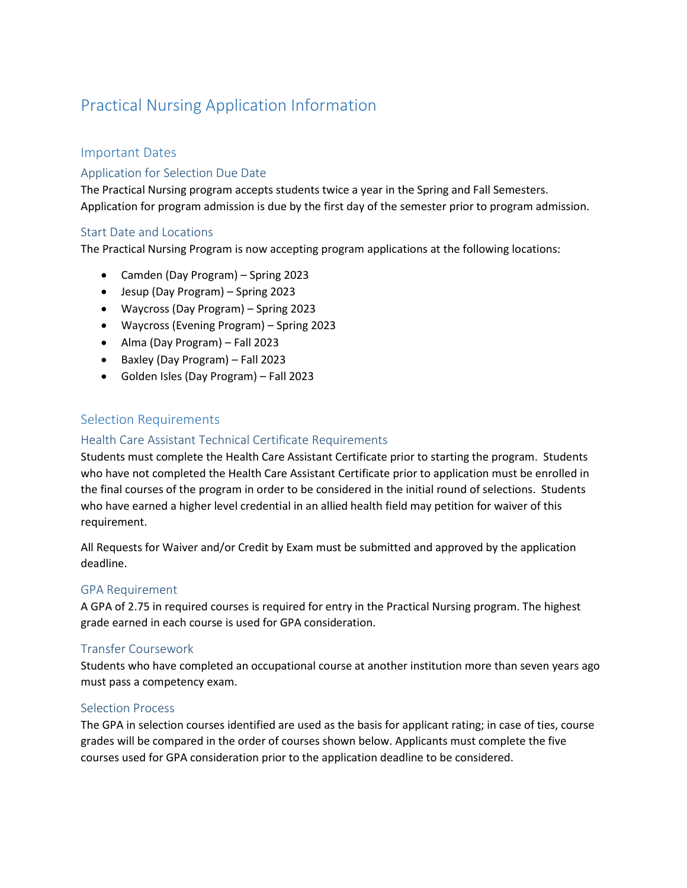## Practical Nursing Application Information

## Important Dates

## Application for Selection Due Date

The Practical Nursing program accepts students twice a year in the Spring and Fall Semesters. Application for program admission is due by the first day of the semester prior to program admission.

## Start Date and Locations

The Practical Nursing Program is now accepting program applications at the following locations:

- Camden (Day Program) Spring 2023
- Jesup (Day Program) Spring 2023
- Waycross (Day Program) Spring 2023
- Waycross (Evening Program) Spring 2023
- Alma (Day Program) Fall 2023
- Baxley (Day Program) Fall 2023
- Golden Isles (Day Program) Fall 2023

## Selection Requirements

## Health Care Assistant Technical Certificate Requirements

Students must complete the Health Care Assistant Certificate prior to starting the program. Students who have not completed the Health Care Assistant Certificate prior to application must be enrolled in the final courses of the program in order to be considered in the initial round of selections. Students who have earned a higher level credential in an allied health field may petition for waiver of this requirement.

All Requests for Waiver and/or Credit by Exam must be submitted and approved by the application deadline.

#### GPA Requirement

A GPA of 2.75 in required courses is required for entry in the Practical Nursing program. The highest grade earned in each course is used for GPA consideration.

#### Transfer Coursework

Students who have completed an occupational course at another institution more than seven years ago must pass a competency exam.

#### Selection Process

The GPA in selection courses identified are used as the basis for applicant rating; in case of ties, course grades will be compared in the order of courses shown below. Applicants must complete the five courses used for GPA consideration prior to the application deadline to be considered.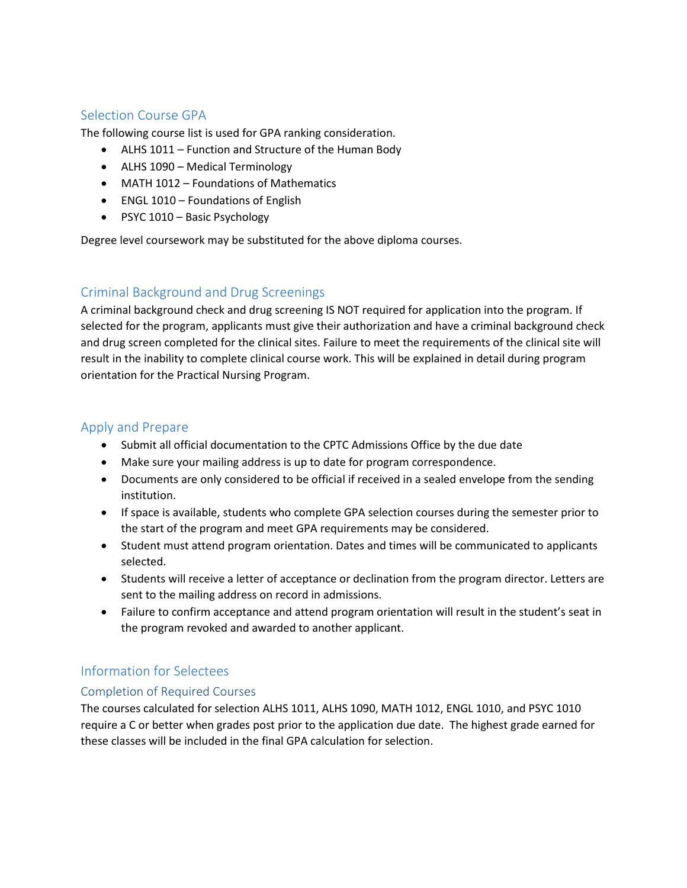## Selection Course GPA

The following course list is used for GPA ranking consideration.

- ALHS 1011 Function and Structure of the Human Body
- ALHS 1090 Medical Terminology
- MATH 1012 Foundations of Mathematics
- ENGL 1010 Foundations of English
- PSYC 1010 Basic Psychology

Degree level coursework may be substituted for the above diploma courses.

## Criminal Background and Drug Screenings

A criminal background check and drug screening IS NOT required for application into the program. If selected for the program, applicants must give their authorization and have a criminal background check and drug screen completed for the clinical sites. Failure to meet the requirements of the clinical site will result in the inability to complete clinical course work. This will be explained in detail during program orientation for the Practical Nursing Program.

## Apply and Prepare

- Submit all official documentation to the CPTC Admissions Office by the due date
- Make sure your mailing address is up to date for program correspondence.
- Documents are only considered to be official if received in a sealed envelope from the sending institution.
- If space is available, students who complete GPA selection courses during the semester prior to the start of the program and meet GPA requirements may be considered.
- Student must attend program orientation. Dates and times will be communicated to applicants selected.
- Students will receive a letter of acceptance or declination from the program director. Letters are sent to the mailing address on record in admissions.
- Failure to confirm acceptance and attend program orientation will result in the student's seat in the program revoked and awarded to another applicant.

## Information for Selectees

#### Completion of Required Courses

The courses calculated for selection ALHS 1011, ALHS 1090, MATH 1012, ENGL 1010, and PSYC 1010 require a C or better when grades post prior to the application due date. The highest grade earned for these classes will be included in the final GPA calculation for selection.